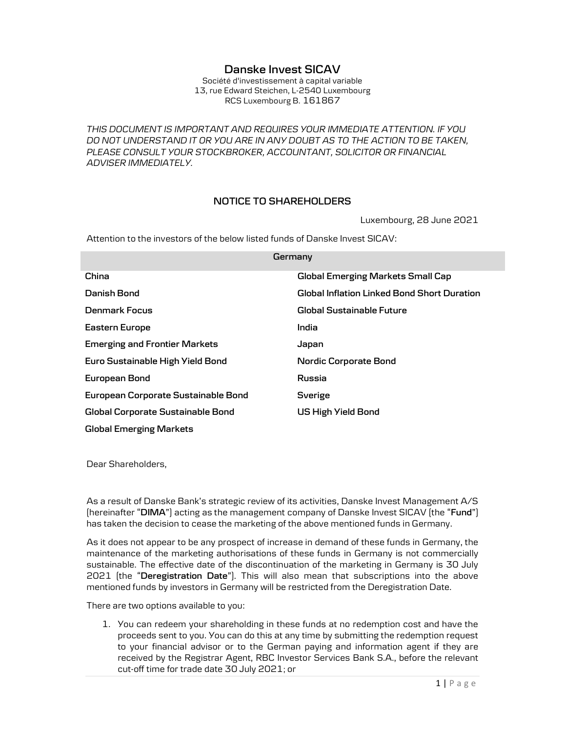## Danske Invest SICAV

Société d'investissement à capital variable 13, rue Edward Steichen, L-2540 Luxembourg RCS Luxembourg B. 161867

THIS DOCUMENT IS IMPORTANT AND REQUIRES YOUR IMMEDIATE ATTENTION. IF YOU DO NOT UNDERSTAND IT OR YOU ARE IN ANY DOUBT AS TO THE ACTION TO BE TAKEN, PLEASE CONSULT YOUR STOCKBROKER, ACCOUNTANT, SOLICITOR OR FINANCIAL ADVISER IMMEDIATELY.

## NOTICE TO SHAREHOLDERS

Luxembourg, 28 June 2021

Attention to the investors of the below listed funds of Danske Invest SICAV:

| Germany                              |                                                    |
|--------------------------------------|----------------------------------------------------|
| China                                | <b>Global Emerging Markets Small Cap</b>           |
| Danish Bond                          | <b>Global Inflation Linked Bond Short Duration</b> |
| Denmark Focus                        | Global Sustainable Future                          |
| Eastern Europe                       | India                                              |
| <b>Emerging and Frontier Markets</b> | Japan                                              |
| Euro Sustainable High Yield Bond     | <b>Nordic Corporate Bond</b>                       |
| European Bond                        | Russia                                             |
| European Corporate Sustainable Bond  | Sverige                                            |
| Global Corporate Sustainable Bond    | <b>US High Yield Bond</b>                          |
| <b>Global Emerging Markets</b>       |                                                    |

Dear Shareholders,

As a result of Danske Bank's strategic review of its activities, Danske Invest Management A/S (hereinafter "DIMA") acting as the management company of Danske Invest SICAV (the "Fund") has taken the decision to cease the marketing of the above mentioned funds in Germany.

As it does not appear to be any prospect of increase in demand of these funds in Germany, the maintenance of the marketing authorisations of these funds in Germany is not commercially sustainable. The effective date of the discontinuation of the marketing in Germany is 30 July 2021 (the "Deregistration Date"). This will also mean that subscriptions into the above mentioned funds by investors in Germany will be restricted from the Deregistration Date.

There are two options available to you:

1. You can redeem your shareholding in these funds at no redemption cost and have the proceeds sent to you. You can do this at any time by submitting the redemption request to your financial advisor or to the German paying and information agent if they are received by the Registrar Agent, RBC Investor Services Bank S.A., before the relevant cut-off time for trade date 30 July 2021; or